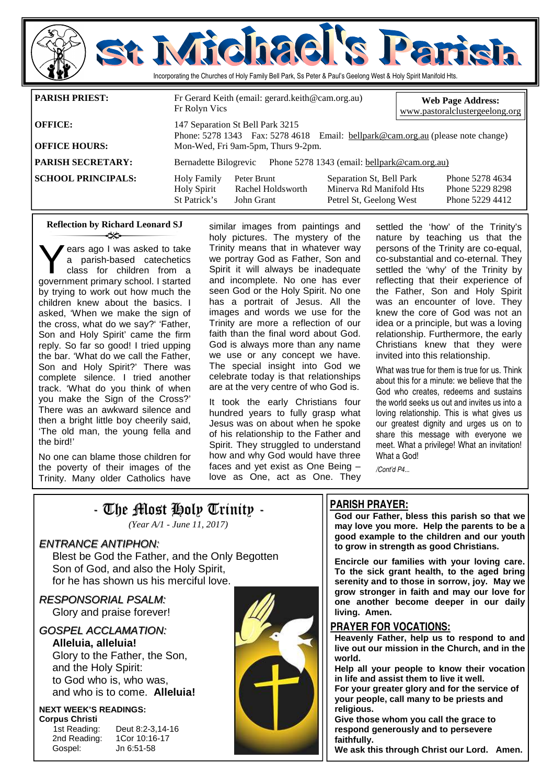

| <b>SCHOOL PRINCIPALS:</b> | Holy Family        | Peter Brunt       | Separation St, Bell Park | Phone 5278 4634 |
|---------------------------|--------------------|-------------------|--------------------------|-----------------|
|                           | <b>Holy Spirit</b> | Rachel Holdsworth | Minerva Rd Manifold Hts  | Phone 5229 8298 |
|                           | St Patrick's       | John Grant        | Petrel St, Geelong West  | Phone 5229 4412 |
|                           |                    |                   |                          |                 |

#### **Reflection by Richard Leonard SJ**  తం

Y ears ago I was asked to take<br>a parish-based catechetics<br>class for children from a a parish-based catechetics class for children from a government primary school. I started by trying to work out how much the children knew about the basics. I asked, 'When we make the sign of the cross, what do we say?' 'Father, Son and Holy Spirit' came the firm reply. So far so good! I tried upping the bar. 'What do we call the Father, Son and Holy Spirit?' There was complete silence. I tried another track. 'What do you think of when you make the Sign of the Cross?' There was an awkward silence and then a bright little boy cheerily said, 'The old man, the young fella and the bird!'

No one can blame those children for the poverty of their images of the Trinity. Many older Catholics have

similar images from paintings and holy pictures. The mystery of the Trinity means that in whatever way we portray God as Father, Son and Spirit it will always be inadequate and incomplete. No one has ever seen God or the Holy Spirit. No one has a portrait of Jesus. All the images and words we use for the Trinity are more a reflection of our faith than the final word about God. God is always more than any name we use or any concept we have. The special insight into God we celebrate today is that relationships are at the very centre of who God is.

It took the early Christians four hundred years to fully grasp what Jesus was on about when he spoke of his relationship to the Father and Spirit. They struggled to understand how and why God would have three faces and yet exist as One Being – love as One, act as One. They

settled the 'how' of the Trinity's nature by teaching us that the persons of the Trinity are co-equal, co-substantial and co-eternal. They settled the 'why' of the Trinity by reflecting that their experience of the Father, Son and Holy Spirit was an encounter of love. They knew the core of God was not an idea or a principle, but was a loving relationship. Furthermore, the early Christians knew that they were invited into this relationship.

What was true for them is true for us. Think about this for a minute: we believe that the God who creates, redeems and sustains the world seeks us out and invites us into a loving relationship. This is what gives us our greatest dignity and urges us on to share this message with everyone we meet. What a privilege! What an invitation! What a God!

*/Cont'd P4...* 

### - The Most Holy Trinity - *(Year A/1 - June 11, 2017)*

#### ENTRANCE ANTIPHON:

 Blest be God the Father, and the Only Begotten Son of God, and also the Holy Spirit, for he has shown us his merciful love.

RESPONSORIAL PSALM: Glory and praise forever!

### GOSPEL ACCLAMATION: **Alleluia, alleluia!**  Glory to the Father, the Son, and the Holy Spirit:

 to God who is, who was, and who is to come. **Alleluia!** 

#### **NEXT WEEK'S READINGS: Corpus Christi**

1st Reading: Deut 8:2-3,14-16 2nd Reading: 1Cor 10:16-17 Gospel: Jn 6:51-58



#### **PARISH PRAYER:**

**God our Father, bless this parish so that we may love you more. Help the parents to be a good example to the children and our youth to grow in strength as good Christians.** 

**Encircle our families with your loving care. To the sick grant health, to the aged bring serenity and to those in sorrow, joy. May we grow stronger in faith and may our love for one another become deeper in our daily living. Amen.** 

#### **PRAYER FOR VOCATIONS:**

**Heavenly Father, help us to respond to and live out our mission in the Church, and in the world.** 

**Help all your people to know their vocation in life and assist them to live it well.** 

**For your greater glory and for the service of your people, call many to be priests and religious.** 

**Give those whom you call the grace to respond generously and to persevere faithfully.** 

**We ask this through Christ our Lord. Amen.**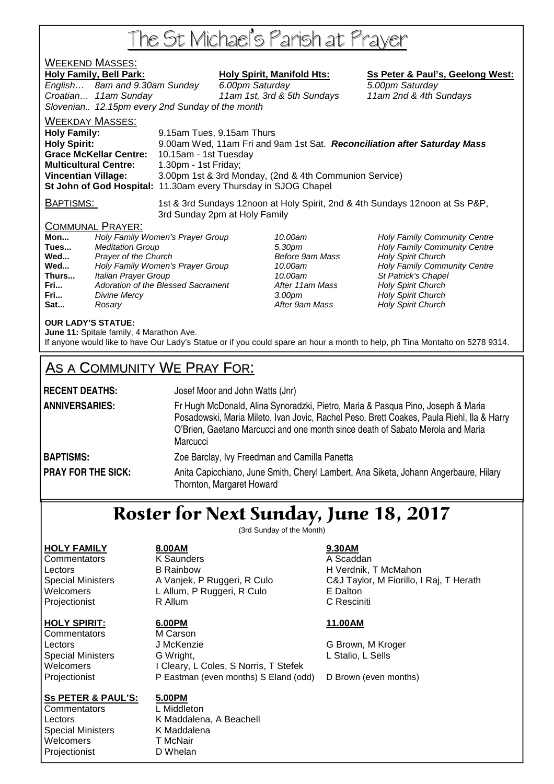# The St Michael's Parish at Prayer

## WEEKEND MASSES:

Holy Family, Bell Park: Holy Spirit, Manifold Hts: Ss Peter & Paul's, Geelong West: English… 8am and 9.30am Sunday 6.00pm Saturday 5.00pm Saturday Croatian… 11am Sunday 11am 1st, 3rd & 5th Sundays 11am 2nd & 4th Sundays Slovenian.. 12.15pm every 2nd Sunday of the month

WEEKDAY MASSES: **Holy Family:** 9.15am Tues, 9.15am Thurs **Holy Spirit:** 9.00am Wed, 11am Fri and 9am 1st Sat. **Reconciliation after Saturday Mass Grace McKellar Centre:** 10.15am - 1st Tuesday **Multicultural Centre:** 1.30pm - 1st Friday; **Vincentian Village:** 3.00pm 1st & 3rd Monday, (2nd & 4th Communion Service) **St John of God Hospital:** 11.30am every Thursday in SJOG Chapel

BAPTISMS: 1st & 3rd Sundays 12noon at Holy Spirit, 2nd & 4th Sundays 12noon at Ss P&P, 3rd Sunday 2pm at Holy Family

#### COMMUNAL PRAYER:

| Mon   | Holy Family Women's Prayer Group   |
|-------|------------------------------------|
| Tues  | <b>Meditation Group</b>            |
| Wed   | Prayer of the Church               |
| Wed   | Holy Family Women's Prayer Group   |
| Thurs | Italian Prayer Group               |
| Fri   | Adoration of the Blessed Sacrament |
| Fri   | Divine Mercy                       |
| Sat   | Rosarv                             |

**After 11am Mass Holy Spirit Church** 

10.00am **Holy Family Community Centre Tues 3.30pm Holy Family Community Centre Before 9am Mass Holy Spirit Church Before 9am Mass Holy Spirit Church** 10.00am **Holy Family Community Centre** 10.00am St Patrick's Chapel **Franch 3.00pm** Holy Spirit Church After 9am Mass **Holy Spirit Church** 

#### **OUR LADY'S STATUE:**

**June 11:** Spitale family, 4 Marathon Ave.

If anyone would like to have Our Lady's Statue or if you could spare an hour a month to help, ph Tina Montalto on 5278 9314.

## AS A COMMUNITY WE PRAY FOR:

**RECENT DEATHS:** Josef Moor and John Watts (Jnr)

**ANNIVERSARIES:** Fr Hugh McDonald, Alina Synoradzki, Pietro, Maria & Pasqua Pino, Joseph & Maria Posadowski, Maria Mileto, Ivan Jovic, Rachel Peso, Brett Coakes, Paula Riehl, Ila & Harry O'Brien, Gaetano Marcucci and one month since death of Sabato Merola and Maria **Marcucci** 

**BAPTISMS: Zoe Barclay, Ivy Freedman and Camilla Panetta** 

**PRAY FOR THE SICK:** Anita Capicchiano, June Smith, Cheryl Lambert, Ana Siketa, Johann Angerbaure, Hilary Thornton, Margaret Howard

# Roster for Next Sunday, June 18, 2017

(3rd Sunday of the Month)

### **HOLY FAMILY 8.00AM 9.30AM**

### **HOLY SPIRIT: 6.00PM 11.00AM**

Commentators M Carson

Commentators **K Saunders** A Scaddan Lectors B Rainbow H Verdnik, T McMahon Welcomers L Allum, P Ruggeri, R Culo E Dalton Projectionist **R** Allum **C Resciniti** 

Lectors **J McKenzie G Brown, M Kroger** Special Ministers G Wright, The Contract Contract C Wright, C Sells Welcomers I Cleary, L Coles, S Norris, T Stefek Projectionist P Eastman (even months) S Eland (odd) D Brown (even months)

#### **Ss PETER & PAUL'S: 5.00PM**

Commentators L Middleton Special Ministers K Maddalena Welcomers T McNair Projectionist D Whelan

Lectors **K Maddalena, A Beachell** 

Special Ministers A Vanjek, P Ruggeri, R Culo C&J Taylor, M Fiorillo, I Raj, T Herath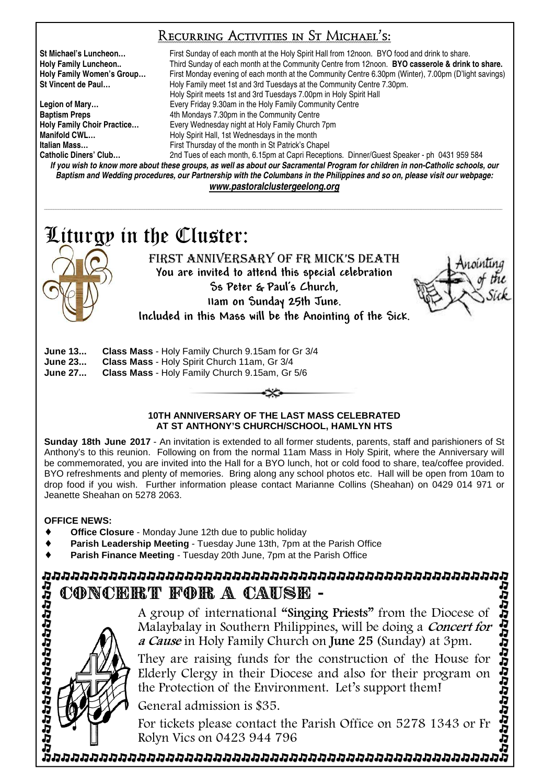## Recurring Activities in St Michael's:

**St Michael's Luncheon…** First Sunday of each month at the Holy Spirit Hall from 12noon. BYO food and drink to share. **Holy Family Luncheon..** Third Sunday of each month at the Community Centre from 12noon. **BYO casserole & drink to share. Holy Family Women's Group…** First Monday evening of each month at the Community Centre 6.30pm (Winter), 7.00pm (D'light savings) **St Vincent de Paul…** Holy Family meet 1st and 3rd Tuesdays at the Community Centre 7.30pm. Holy Spirit meets 1st and 3rd Tuesdays 7.00pm in Holy Spirit Hall **Legion of Mary…** Every Friday 9.30am in the Holy Family Community Centre **Baptism Preps 4th Mondays 7.30pm in the Community Centre Holy Family Choir Practice…** Every Wednesday night at Holy Family Church 7pm **Manifold CWL... Holy Spirit Hall, 1st Wednesdays in the month Italian Mass…** First Thursday of the month in St Patrick's Chapel 2nd Tues of each month, 6.15pm at Capri Receptions. Dinner/Guest Speaker - ph 0431 959 584

*If you wish to know more about these groups, as well as about our Sacramental Program for children in non-Catholic schools, our Baptism and Wedding procedures, our Partnership with the Columbans in the Philippines and so on, please visit our webpage: www.pastoralclustergeelong.org*

\_\_\_\_\_\_\_\_\_\_\_\_\_\_\_\_\_\_\_\_\_\_\_\_\_\_\_\_\_\_\_\_\_\_\_\_\_\_\_\_\_\_\_\_\_\_\_\_\_\_\_\_\_\_\_\_\_\_\_\_\_\_\_\_\_\_\_\_\_\_\_\_\_\_\_\_\_\_\_\_\_\_\_\_\_\_\_\_\_\_\_\_\_\_\_\_\_\_\_\_\_\_\_\_\_\_\_\_\_\_\_\_\_\_\_\_\_\_\_\_\_\_\_\_\_\_\_\_\_\_\_\_\_\_\_\_\_\_\_\_\_\_\_\_\_\_\_\_\_\_\_\_\_\_\_\_\_\_\_\_\_\_\_\_\_\_\_\_\_\_\_\_\_\_\_\_\_\_\_\_\_\_\_\_\_\_\_\_\_\_\_\_\_\_\_\_\_

# Liturgy in the Cluster:



FIRST ANNIVERSARY OF FR MICK'S DEATH You are invited to attend this special celebration Ss Peter & Paul's Church, 11am on Sunday 25th June. Included in this Mass will be the Anointing of the Sick.



| <b>June 13</b> | Class Mass - Holy Family Church 9.15am for Gr 3/4     |
|----------------|-------------------------------------------------------|
| June 23        | <b>Class Mass - Holy Spirit Church 11am, Gr 3/4</b>   |
| June 27        | <b>Class Mass - Holy Family Church 9.15am, Gr 5/6</b> |

#### **10TH ANNIVERSARY OF THE LAST MASS CELEBRATED AT ST ANTHONY'S CHURCH/SCHOOL, HAMLYN HTS**

**Sunday 18th June 2017** - An invitation is extended to all former students, parents, staff and parishioners of St Anthony's to this reunion. Following on from the normal 11am Mass in Holy Spirit, where the Anniversary will be commemorated, you are invited into the Hall for a BYO lunch, hot or cold food to share, tea/coffee provided. BYO refreshments and plenty of memories. Bring along any school photos etc. Hall will be open from 10am to drop food if you wish. Further information please contact Marianne Collins (Sheahan) on 0429 014 971 or Jeanette Sheahan on 5278 2063.

### **OFFICE NEWS:**

- **Office Closure** Monday June 12th due to public holiday
- Parish Leadership Meeting Tuesday June 13th, 7pm at the Parish Office
- Parish Finance Meeting Tuesday 20th June, 7pm at the Parish Office

CONCERT FOR A CAUSE -



A group of international "Singing Priests" from the Diocese of Malaybalay in Southern Philippines, will be doing a *Concert for* a Cause in Holy Family Church on June 25 (Sunday) at 3pm.

They are raising funds for the construction of the House for Elderly Clergy in their Diocese and also for their program on the Protection of the Environment. Let's support them!

General admission is \$35.

For tickets please contact the Parish Office on 5278 1343 or Fr Rolyn Vics on 0423 944 796